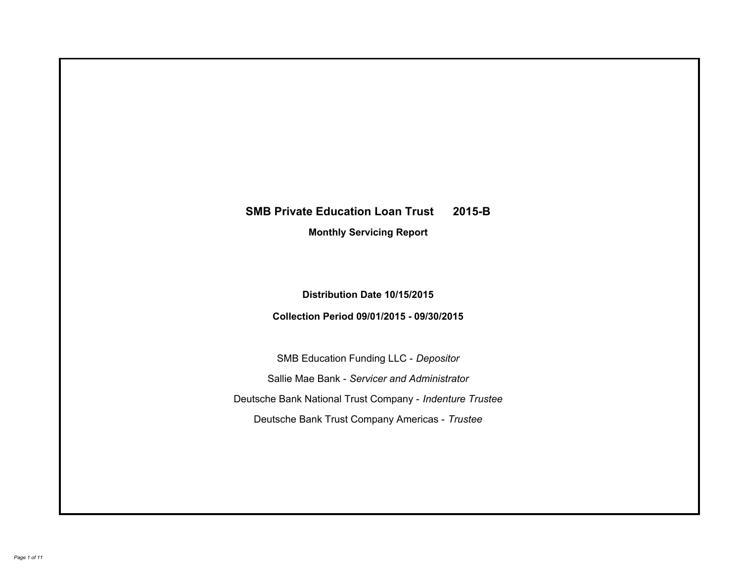# **SMB Private Education Loan Trust 2015-B Monthly Servicing Report**

## **Distribution Date 10/15/2015**

## **Collection Period 09/01/2015 - 09/30/2015**

SMB Education Funding LLC - *Depositor* Sallie Mae Bank - *Servicer and Administrator* Deutsche Bank National Trust Company - *Indenture Trustee* Deutsche Bank Trust Company Americas - *Trustee*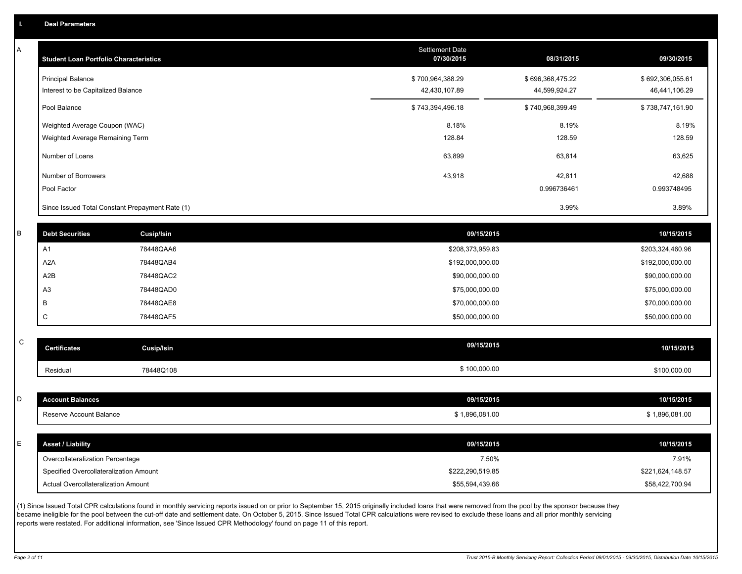A

| <b>Student Loan Portfolio Characteristics</b> |                                                 | <b>Settlement Date</b><br>07/30/2015 | 08/31/2015       | 09/30/2015       |
|-----------------------------------------------|-------------------------------------------------|--------------------------------------|------------------|------------------|
| <b>Principal Balance</b>                      |                                                 | \$700,964,388.29                     | \$696,368,475.22 | \$692,306,055.61 |
| Interest to be Capitalized Balance            |                                                 | 42,430,107.89                        | 44,599,924.27    | 46,441,106.29    |
| Pool Balance                                  |                                                 | \$743,394,496.18                     | \$740,968,399.49 | \$738,747,161.90 |
| Weighted Average Coupon (WAC)                 |                                                 | 8.18%                                | 8.19%            | 8.19%            |
| Weighted Average Remaining Term               |                                                 | 128.84                               | 128.59           | 128.59           |
| Number of Loans                               |                                                 | 63,899                               | 63,814           | 63,625           |
| Number of Borrowers                           |                                                 | 43,918                               | 42,811           | 42,688           |
| Pool Factor                                   |                                                 |                                      | 0.996736461      | 0.993748495      |
|                                               | Since Issued Total Constant Prepayment Rate (1) |                                      | 3.99%            | 3.89%            |
| <b>Debt Securities</b>                        | Cusip/Isin                                      | 09/15/2015                           |                  | 10/15/2015       |
| A1                                            | 78448QAA6                                       | \$208,373,959.83                     |                  | \$203,324,460.96 |
| A <sub>2</sub> A                              | 78448QAB4                                       | \$192,000,000.00                     |                  | \$192,000,000.00 |
| A2B                                           | 78448QAC2                                       | \$90,000,000.00                      |                  | \$90,000,000.00  |
| A <sub>3</sub>                                | 78448QAD0                                       | \$75,000,000.00                      |                  | \$75,000,000.00  |
| B                                             | 78448QAE8                                       | \$70,000,000.00                      |                  | \$70,000,000.00  |
| C                                             | 78448QAF5                                       | \$50,000,000.00                      |                  | \$50,000,000.00  |
|                                               |                                                 |                                      |                  |                  |
| <b>Certificates</b>                           | <b>Cusip/Isin</b>                               | 09/15/2015                           |                  | 10/15/2015       |
| Residual                                      | 78448Q108                                       | \$100,000.00                         |                  | \$100,000.00     |
|                                               |                                                 |                                      |                  |                  |
| <b>Account Balances</b>                       |                                                 | 09/15/2015                           |                  | 10/15/2015       |
| Reserve Account Balance                       |                                                 | \$1,896,081.00                       |                  | \$1,896,081.00   |
| <b>Asset / Liability</b>                      |                                                 | 09/15/2015                           |                  | 10/15/2015       |
| Overcollateralization Percentage              |                                                 | 7.50%                                |                  | 7.91%            |
| Specified Overcollateralization Amount        |                                                 | \$222,290,519.85                     |                  | \$221,624,148.57 |
| <b>Actual Overcollateralization Amount</b>    |                                                 | \$55,594,439.66                      |                  | \$58,422,700.94  |

(1) Since Issued Total CPR calculations found in monthly servicing reports issued on or prior to September 15, 2015 originally included loans that were removed from the pool by the sponsor because they became ineligible for the pool between the cut-off date and settlement date. On October 5, 2015, Since Issued Total CPR calculations were revised to exclude these loans and all prior monthly servicing reports were restated. For additional information, see 'Since Issued CPR Methodology' found on page 11 of this report.

C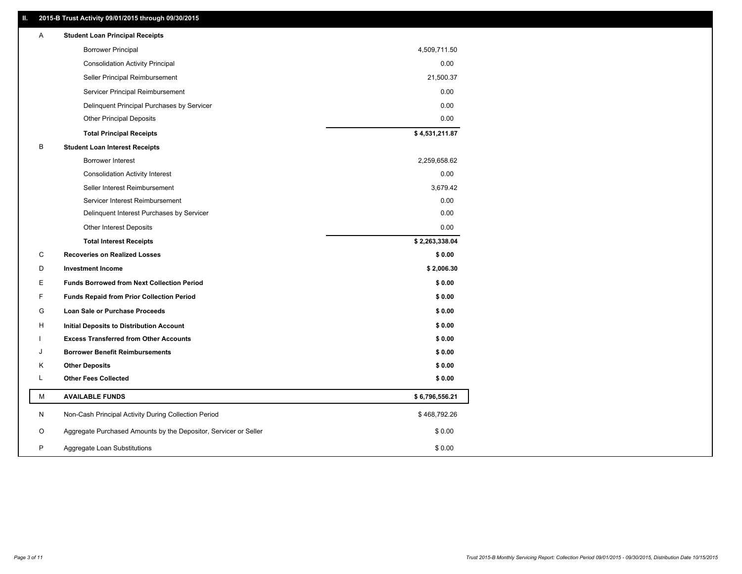## **II. 2015-B Trust Activity 09/01/2015 through 09/30/2015**

| <b>Borrower Principal</b><br>4,509,711.50<br><b>Consolidation Activity Principal</b><br>0.00<br>Seller Principal Reimbursement<br>21,500.37<br>Servicer Principal Reimbursement<br>0.00<br>0.00<br>Delinquent Principal Purchases by Servicer<br>0.00<br><b>Other Principal Deposits</b><br>\$4,531,211.87<br><b>Total Principal Receipts</b><br>B<br><b>Student Loan Interest Receipts</b><br>2,259,658.62<br>Borrower Interest<br>0.00<br><b>Consolidation Activity Interest</b><br>3,679.42<br>Seller Interest Reimbursement<br>0.00<br>Servicer Interest Reimbursement<br>0.00<br>Delinquent Interest Purchases by Servicer<br>Other Interest Deposits<br>0.00<br>\$2,263,338.04<br><b>Total Interest Receipts</b><br>C<br><b>Recoveries on Realized Losses</b><br>\$0.00<br>D<br><b>Investment Income</b><br>\$2,006.30<br>Ε<br><b>Funds Borrowed from Next Collection Period</b><br>\$0.00<br>F<br>\$0.00<br><b>Funds Repaid from Prior Collection Period</b><br>G<br>\$0.00<br>Loan Sale or Purchase Proceeds<br>\$0.00<br>н<br>Initial Deposits to Distribution Account<br>\$0.00<br><b>Excess Transferred from Other Accounts</b><br><b>Borrower Benefit Reimbursements</b><br>\$0.00<br>J<br>\$0.00<br>Κ<br><b>Other Deposits</b><br><b>Other Fees Collected</b><br>L<br>\$0.00<br>М<br><b>AVAILABLE FUNDS</b><br>\$6,796,556.21<br>N<br>Non-Cash Principal Activity During Collection Period<br>\$468,792.26<br>O<br>Aggregate Purchased Amounts by the Depositor, Servicer or Seller<br>\$0.00<br>P<br>\$0.00<br>Aggregate Loan Substitutions | Α | <b>Student Loan Principal Receipts</b> |  |
|-----------------------------------------------------------------------------------------------------------------------------------------------------------------------------------------------------------------------------------------------------------------------------------------------------------------------------------------------------------------------------------------------------------------------------------------------------------------------------------------------------------------------------------------------------------------------------------------------------------------------------------------------------------------------------------------------------------------------------------------------------------------------------------------------------------------------------------------------------------------------------------------------------------------------------------------------------------------------------------------------------------------------------------------------------------------------------------------------------------------------------------------------------------------------------------------------------------------------------------------------------------------------------------------------------------------------------------------------------------------------------------------------------------------------------------------------------------------------------------------------------------------------------------------------------------|---|----------------------------------------|--|
|                                                                                                                                                                                                                                                                                                                                                                                                                                                                                                                                                                                                                                                                                                                                                                                                                                                                                                                                                                                                                                                                                                                                                                                                                                                                                                                                                                                                                                                                                                                                                           |   |                                        |  |
|                                                                                                                                                                                                                                                                                                                                                                                                                                                                                                                                                                                                                                                                                                                                                                                                                                                                                                                                                                                                                                                                                                                                                                                                                                                                                                                                                                                                                                                                                                                                                           |   |                                        |  |
|                                                                                                                                                                                                                                                                                                                                                                                                                                                                                                                                                                                                                                                                                                                                                                                                                                                                                                                                                                                                                                                                                                                                                                                                                                                                                                                                                                                                                                                                                                                                                           |   |                                        |  |
|                                                                                                                                                                                                                                                                                                                                                                                                                                                                                                                                                                                                                                                                                                                                                                                                                                                                                                                                                                                                                                                                                                                                                                                                                                                                                                                                                                                                                                                                                                                                                           |   |                                        |  |
|                                                                                                                                                                                                                                                                                                                                                                                                                                                                                                                                                                                                                                                                                                                                                                                                                                                                                                                                                                                                                                                                                                                                                                                                                                                                                                                                                                                                                                                                                                                                                           |   |                                        |  |
|                                                                                                                                                                                                                                                                                                                                                                                                                                                                                                                                                                                                                                                                                                                                                                                                                                                                                                                                                                                                                                                                                                                                                                                                                                                                                                                                                                                                                                                                                                                                                           |   |                                        |  |
|                                                                                                                                                                                                                                                                                                                                                                                                                                                                                                                                                                                                                                                                                                                                                                                                                                                                                                                                                                                                                                                                                                                                                                                                                                                                                                                                                                                                                                                                                                                                                           |   |                                        |  |
|                                                                                                                                                                                                                                                                                                                                                                                                                                                                                                                                                                                                                                                                                                                                                                                                                                                                                                                                                                                                                                                                                                                                                                                                                                                                                                                                                                                                                                                                                                                                                           |   |                                        |  |
|                                                                                                                                                                                                                                                                                                                                                                                                                                                                                                                                                                                                                                                                                                                                                                                                                                                                                                                                                                                                                                                                                                                                                                                                                                                                                                                                                                                                                                                                                                                                                           |   |                                        |  |
|                                                                                                                                                                                                                                                                                                                                                                                                                                                                                                                                                                                                                                                                                                                                                                                                                                                                                                                                                                                                                                                                                                                                                                                                                                                                                                                                                                                                                                                                                                                                                           |   |                                        |  |
|                                                                                                                                                                                                                                                                                                                                                                                                                                                                                                                                                                                                                                                                                                                                                                                                                                                                                                                                                                                                                                                                                                                                                                                                                                                                                                                                                                                                                                                                                                                                                           |   |                                        |  |
|                                                                                                                                                                                                                                                                                                                                                                                                                                                                                                                                                                                                                                                                                                                                                                                                                                                                                                                                                                                                                                                                                                                                                                                                                                                                                                                                                                                                                                                                                                                                                           |   |                                        |  |
|                                                                                                                                                                                                                                                                                                                                                                                                                                                                                                                                                                                                                                                                                                                                                                                                                                                                                                                                                                                                                                                                                                                                                                                                                                                                                                                                                                                                                                                                                                                                                           |   |                                        |  |
|                                                                                                                                                                                                                                                                                                                                                                                                                                                                                                                                                                                                                                                                                                                                                                                                                                                                                                                                                                                                                                                                                                                                                                                                                                                                                                                                                                                                                                                                                                                                                           |   |                                        |  |
|                                                                                                                                                                                                                                                                                                                                                                                                                                                                                                                                                                                                                                                                                                                                                                                                                                                                                                                                                                                                                                                                                                                                                                                                                                                                                                                                                                                                                                                                                                                                                           |   |                                        |  |
|                                                                                                                                                                                                                                                                                                                                                                                                                                                                                                                                                                                                                                                                                                                                                                                                                                                                                                                                                                                                                                                                                                                                                                                                                                                                                                                                                                                                                                                                                                                                                           |   |                                        |  |
|                                                                                                                                                                                                                                                                                                                                                                                                                                                                                                                                                                                                                                                                                                                                                                                                                                                                                                                                                                                                                                                                                                                                                                                                                                                                                                                                                                                                                                                                                                                                                           |   |                                        |  |
|                                                                                                                                                                                                                                                                                                                                                                                                                                                                                                                                                                                                                                                                                                                                                                                                                                                                                                                                                                                                                                                                                                                                                                                                                                                                                                                                                                                                                                                                                                                                                           |   |                                        |  |
|                                                                                                                                                                                                                                                                                                                                                                                                                                                                                                                                                                                                                                                                                                                                                                                                                                                                                                                                                                                                                                                                                                                                                                                                                                                                                                                                                                                                                                                                                                                                                           |   |                                        |  |
|                                                                                                                                                                                                                                                                                                                                                                                                                                                                                                                                                                                                                                                                                                                                                                                                                                                                                                                                                                                                                                                                                                                                                                                                                                                                                                                                                                                                                                                                                                                                                           |   |                                        |  |
|                                                                                                                                                                                                                                                                                                                                                                                                                                                                                                                                                                                                                                                                                                                                                                                                                                                                                                                                                                                                                                                                                                                                                                                                                                                                                                                                                                                                                                                                                                                                                           |   |                                        |  |
|                                                                                                                                                                                                                                                                                                                                                                                                                                                                                                                                                                                                                                                                                                                                                                                                                                                                                                                                                                                                                                                                                                                                                                                                                                                                                                                                                                                                                                                                                                                                                           |   |                                        |  |
|                                                                                                                                                                                                                                                                                                                                                                                                                                                                                                                                                                                                                                                                                                                                                                                                                                                                                                                                                                                                                                                                                                                                                                                                                                                                                                                                                                                                                                                                                                                                                           |   |                                        |  |
|                                                                                                                                                                                                                                                                                                                                                                                                                                                                                                                                                                                                                                                                                                                                                                                                                                                                                                                                                                                                                                                                                                                                                                                                                                                                                                                                                                                                                                                                                                                                                           |   |                                        |  |
|                                                                                                                                                                                                                                                                                                                                                                                                                                                                                                                                                                                                                                                                                                                                                                                                                                                                                                                                                                                                                                                                                                                                                                                                                                                                                                                                                                                                                                                                                                                                                           |   |                                        |  |
|                                                                                                                                                                                                                                                                                                                                                                                                                                                                                                                                                                                                                                                                                                                                                                                                                                                                                                                                                                                                                                                                                                                                                                                                                                                                                                                                                                                                                                                                                                                                                           |   |                                        |  |
|                                                                                                                                                                                                                                                                                                                                                                                                                                                                                                                                                                                                                                                                                                                                                                                                                                                                                                                                                                                                                                                                                                                                                                                                                                                                                                                                                                                                                                                                                                                                                           |   |                                        |  |
|                                                                                                                                                                                                                                                                                                                                                                                                                                                                                                                                                                                                                                                                                                                                                                                                                                                                                                                                                                                                                                                                                                                                                                                                                                                                                                                                                                                                                                                                                                                                                           |   |                                        |  |
|                                                                                                                                                                                                                                                                                                                                                                                                                                                                                                                                                                                                                                                                                                                                                                                                                                                                                                                                                                                                                                                                                                                                                                                                                                                                                                                                                                                                                                                                                                                                                           |   |                                        |  |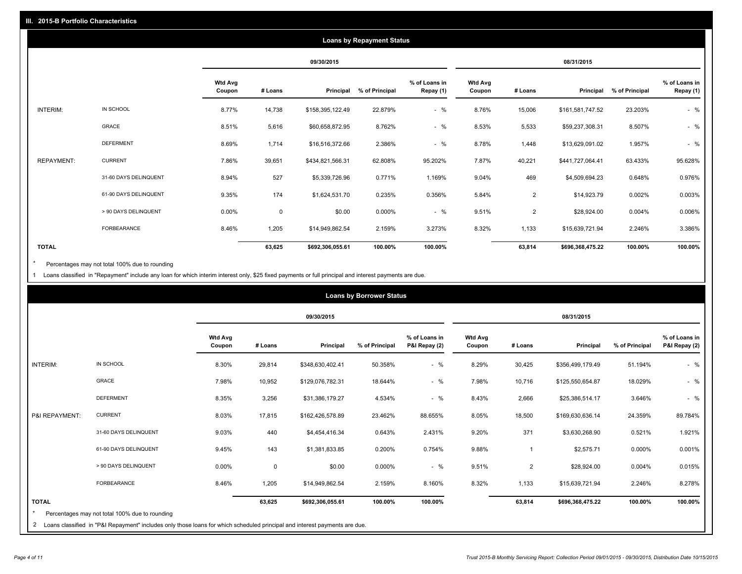|                   |                       |                          |             |                  | <b>Loans by Repayment Status</b> |                            |                          |                |                  |                |                            |
|-------------------|-----------------------|--------------------------|-------------|------------------|----------------------------------|----------------------------|--------------------------|----------------|------------------|----------------|----------------------------|
|                   |                       |                          |             | 09/30/2015       |                                  |                            |                          |                | 08/31/2015       |                |                            |
|                   |                       | <b>Wtd Avg</b><br>Coupon | # Loans     | Principal        | % of Principal                   | % of Loans in<br>Repay (1) | <b>Wtd Avg</b><br>Coupon | # Loans        | Principal        | % of Principal | % of Loans in<br>Repay (1) |
| INTERIM:          | IN SCHOOL             | 8.77%                    | 14,738      | \$158,395,122.49 | 22.879%                          | $-$ %                      | 8.76%                    | 15,006         | \$161,581,747.52 | 23.203%        | $-$ %                      |
|                   | <b>GRACE</b>          | 8.51%                    | 5,616       | \$60,658,872.95  | 8.762%                           | $-$ %                      | 8.53%                    | 5,533          | \$59,237,308.31  | 8.507%         | $-$ %                      |
|                   | <b>DEFERMENT</b>      | 8.69%                    | 1,714       | \$16,516,372.66  | 2.386%                           | $-$ %                      | 8.78%                    | 1,448          | \$13,629,091.02  | 1.957%         | $-$ %                      |
| <b>REPAYMENT:</b> | <b>CURRENT</b>        | 7.86%                    | 39,651      | \$434,821,566.31 | 62.808%                          | 95.202%                    | 7.87%                    | 40,221         | \$441,727,064.41 | 63.433%        | 95.628%                    |
|                   | 31-60 DAYS DELINQUENT | 8.94%                    | 527         | \$5,339,726.96   | 0.771%                           | 1.169%                     | 9.04%                    | 469            | \$4,509,694.23   | 0.648%         | 0.976%                     |
|                   | 61-90 DAYS DELINQUENT | 9.35%                    | 174         | \$1,624,531.70   | 0.235%                           | 0.356%                     | 5.84%                    | $\overline{2}$ | \$14,923.79      | 0.002%         | 0.003%                     |
|                   | > 90 DAYS DELINQUENT  | 0.00%                    | $\mathbf 0$ | \$0.00           | 0.000%                           | $-$ %                      | 9.51%                    | $\overline{2}$ | \$28,924.00      | 0.004%         | 0.006%                     |
|                   | FORBEARANCE           | 8.46%                    | 1,205       | \$14,949,862.54  | 2.159%                           | 3.273%                     | 8.32%                    | 1,133          | \$15,639,721.94  | 2.246%         | 3.386%                     |
| <b>TOTAL</b>      |                       |                          | 63,625      | \$692,306,055.61 | 100.00%                          | 100.00%                    |                          | 63,814         | \$696,368,475.22 | 100.00%        | 100.00%                    |

Percentages may not total 100% due to rounding  $^\star$ 

1 Loans classified in "Repayment" include any loan for which interim interest only, \$25 fixed payments or full principal and interest payments are due.

|                |                                                                                                   |                          |             |                  | <b>Loans by Borrower Status</b> |                                |                          |                |                  |                |                                |
|----------------|---------------------------------------------------------------------------------------------------|--------------------------|-------------|------------------|---------------------------------|--------------------------------|--------------------------|----------------|------------------|----------------|--------------------------------|
|                |                                                                                                   |                          |             | 09/30/2015       |                                 |                                |                          |                | 08/31/2015       |                |                                |
|                |                                                                                                   | <b>Wtd Avg</b><br>Coupon | # Loans     | Principal        | % of Principal                  | % of Loans in<br>P&I Repay (2) | <b>Wtd Avg</b><br>Coupon | # Loans        | Principal        | % of Principal | % of Loans in<br>P&I Repay (2) |
| INTERIM:       | IN SCHOOL                                                                                         | 8.30%                    | 29,814      | \$348,630,402.41 | 50.358%                         | $-$ %                          | 8.29%                    | 30,425         | \$356,499,179.49 | 51.194%        | $-$ %                          |
|                | GRACE                                                                                             | 7.98%                    | 10,952      | \$129,076,782.31 | 18.644%                         | $-$ %                          | 7.98%                    | 10,716         | \$125,550,654.87 | 18.029%        | $-$ %                          |
|                | <b>DEFERMENT</b>                                                                                  | 8.35%                    | 3,256       | \$31,386,179.27  | 4.534%                          | $-$ %                          | 8.43%                    | 2,666          | \$25,386,514.17  | 3.646%         | $-$ %                          |
| P&I REPAYMENT: | <b>CURRENT</b>                                                                                    | 8.03%                    | 17,815      | \$162,426,578.89 | 23.462%                         | 88.655%                        | 8.05%                    | 18,500         | \$169,630,636.14 | 24.359%        | 89.784%                        |
|                | 31-60 DAYS DELINQUENT                                                                             | 9.03%                    | 440         | \$4,454,416.34   | 0.643%                          | 2.431%                         | 9.20%                    | 371            | \$3,630,268.90   | 0.521%         | 1.921%                         |
|                | 61-90 DAYS DELINQUENT                                                                             | 9.45%                    | 143         | \$1,381,833.85   | 0.200%                          | 0.754%                         | 9.88%                    | -1             | \$2,575.71       | 0.000%         | 0.001%                         |
|                | > 90 DAYS DELINQUENT                                                                              | $0.00\%$                 | $\mathbf 0$ | \$0.00           | 0.000%                          | $-$ %                          | 9.51%                    | $\overline{2}$ | \$28,924.00      | 0.004%         | 0.015%                         |
|                | FORBEARANCE                                                                                       | 8.46%                    | 1,205       | \$14,949,862.54  | 2.159%                          | 8.160%                         | 8.32%                    | 1,133          | \$15,639,721.94  | 2.246%         | 8.278%                         |
| <b>TOTAL</b>   |                                                                                                   |                          | 63,625      | \$692,306,055.61 | 100.00%                         | 100.00%                        |                          | 63,814         | \$696,368,475.22 | 100.00%        | 100.00%                        |
|                | Percentages may not total 100% due to rounding<br>the contract of the contract of the contract of |                          |             |                  |                                 |                                |                          |                |                  |                |                                |

2 Loans classified in "P&I Repayment" includes only those loans for which scheduled principal and interest payments are due.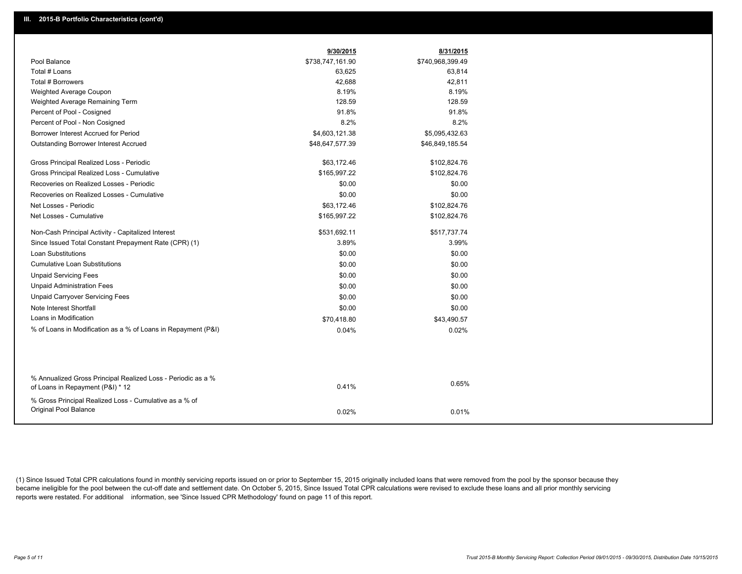|                                                                                                  | 9/30/2015        | 8/31/2015        |
|--------------------------------------------------------------------------------------------------|------------------|------------------|
| Pool Balance                                                                                     | \$738,747,161.90 | \$740,968,399.49 |
| Total # Loans                                                                                    | 63,625           | 63,814           |
| Total # Borrowers                                                                                | 42,688           | 42,811           |
| Weighted Average Coupon                                                                          | 8.19%            | 8.19%            |
| Weighted Average Remaining Term                                                                  | 128.59           | 128.59           |
| Percent of Pool - Cosigned                                                                       | 91.8%            | 91.8%            |
| Percent of Pool - Non Cosigned                                                                   | 8.2%             | 8.2%             |
| Borrower Interest Accrued for Period                                                             | \$4,603,121.38   | \$5,095,432.63   |
| <b>Outstanding Borrower Interest Accrued</b>                                                     | \$48,647,577.39  | \$46,849,185.54  |
| Gross Principal Realized Loss - Periodic                                                         | \$63,172.46      | \$102,824.76     |
| Gross Principal Realized Loss - Cumulative                                                       | \$165,997.22     | \$102,824.76     |
| Recoveries on Realized Losses - Periodic                                                         | \$0.00           | \$0.00           |
| Recoveries on Realized Losses - Cumulative                                                       | \$0.00           | \$0.00           |
| Net Losses - Periodic                                                                            | \$63,172.46      | \$102,824.76     |
| Net Losses - Cumulative                                                                          | \$165,997.22     | \$102,824.76     |
| Non-Cash Principal Activity - Capitalized Interest                                               | \$531,692.11     | \$517,737.74     |
| Since Issued Total Constant Prepayment Rate (CPR) (1)                                            | 3.89%            | 3.99%            |
| <b>Loan Substitutions</b>                                                                        | \$0.00           | \$0.00           |
| <b>Cumulative Loan Substitutions</b>                                                             | \$0.00           | \$0.00           |
| <b>Unpaid Servicing Fees</b>                                                                     | \$0.00           | \$0.00           |
| <b>Unpaid Administration Fees</b>                                                                | \$0.00           | \$0.00           |
| <b>Unpaid Carryover Servicing Fees</b>                                                           | \$0.00           | \$0.00           |
| Note Interest Shortfall                                                                          | \$0.00           | \$0.00           |
| Loans in Modification                                                                            | \$70,418.80      | \$43,490.57      |
| % of Loans in Modification as a % of Loans in Repayment (P&I)                                    | 0.04%            | 0.02%            |
|                                                                                                  |                  |                  |
|                                                                                                  |                  |                  |
| % Annualized Gross Principal Realized Loss - Periodic as a %<br>of Loans in Repayment (P&I) * 12 | 0.41%            | 0.65%            |
| % Gross Principal Realized Loss - Cumulative as a % of                                           |                  |                  |
| Original Pool Balance                                                                            | 0.02%            | 0.01%            |

(1) Since Issued Total CPR calculations found in monthly servicing reports issued on or prior to September 15, 2015 originally included loans that were removed from the pool by the sponsor because they became ineligible for the pool between the cut-off date and settlement date. On October 5, 2015, Since Issued Total CPR calculations were revised to exclude these loans and all prior monthly servicing reports were restated. For additional information, see 'Since Issued CPR Methodology' found on page 11 of this report.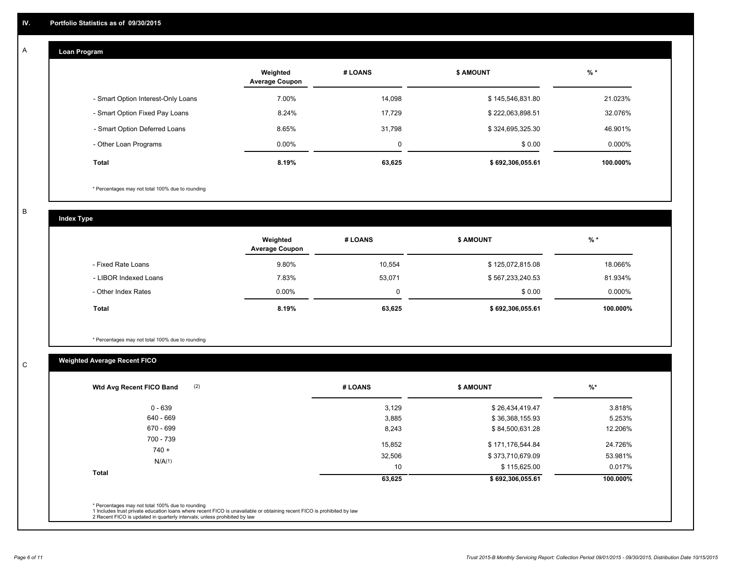#### **Loan Program**  A

|                                    | Weighted<br><b>Average Coupon</b> | # LOANS | <b>\$ AMOUNT</b> | $%$ *     |
|------------------------------------|-----------------------------------|---------|------------------|-----------|
| - Smart Option Interest-Only Loans | 7.00%                             | 14,098  | \$145,546,831.80 | 21.023%   |
| - Smart Option Fixed Pay Loans     | 8.24%                             | 17.729  | \$222,063,898.51 | 32.076%   |
| - Smart Option Deferred Loans      | 8.65%                             | 31.798  | \$324,695,325.30 | 46.901%   |
| - Other Loan Programs              | $0.00\%$                          | 0       | \$0.00           | $0.000\%$ |
| <b>Total</b>                       | 8.19%                             | 63,625  | \$692.306.055.61 | 100.000%  |

\* Percentages may not total 100% due to rounding

B

C

**Index Type**

|                       | Weighted<br><b>Average Coupon</b> | # LOANS | \$ AMOUNT        | $%$ *     |
|-----------------------|-----------------------------------|---------|------------------|-----------|
| - Fixed Rate Loans    | 9.80%                             | 10.554  | \$125,072,815.08 | 18.066%   |
| - LIBOR Indexed Loans | 7.83%                             | 53,071  | \$567,233,240.53 | 81.934%   |
| - Other Index Rates   | $0.00\%$                          |         | \$0.00           | $0.000\%$ |
| <b>Total</b>          | 8.19%                             | 63,625  | \$692,306,055.61 | 100.000%  |

\* Percentages may not total 100% due to rounding

## **Weighted Average Recent FICO**

| 3,129  | \$26,434,419.47  | 3.818%   |
|--------|------------------|----------|
|        |                  |          |
| 3,885  | \$36,368,155.93  | 5.253%   |
| 8,243  | \$84,500,631.28  | 12.206%  |
| 15,852 | \$171,176,544.84 | 24.726%  |
| 32,506 | \$373,710,679.09 | 53.981%  |
| 10     | \$115,625.00     | 0.017%   |
| 63,625 | \$692,306,055.61 | 100.000% |
|        |                  |          |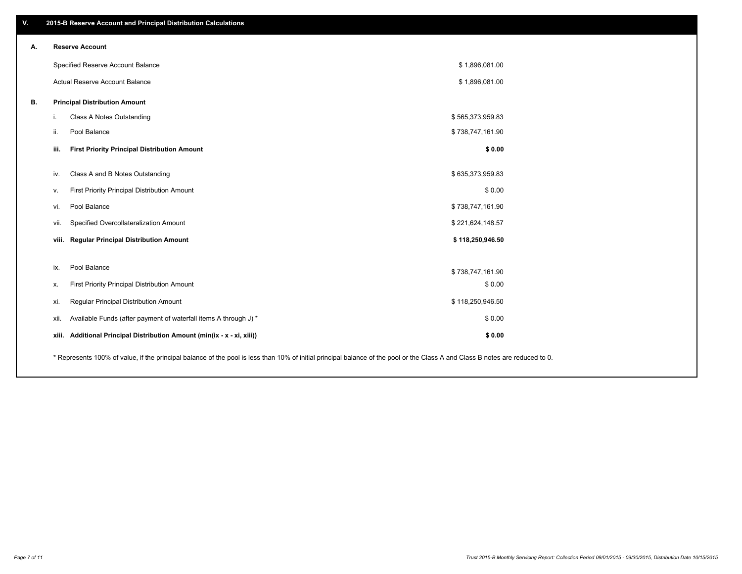| V. | 2015-B Reserve Account and Principal Distribution Calculations                                                                                                                |                  |  |
|----|-------------------------------------------------------------------------------------------------------------------------------------------------------------------------------|------------------|--|
| А. | <b>Reserve Account</b>                                                                                                                                                        |                  |  |
|    | Specified Reserve Account Balance                                                                                                                                             | \$1,896,081.00   |  |
|    | Actual Reserve Account Balance                                                                                                                                                | \$1,896,081.00   |  |
| В. | <b>Principal Distribution Amount</b>                                                                                                                                          |                  |  |
|    | Class A Notes Outstanding<br>i.                                                                                                                                               | \$565,373,959.83 |  |
|    | Pool Balance<br>ii.                                                                                                                                                           | \$738,747,161.90 |  |
|    | iii.<br><b>First Priority Principal Distribution Amount</b>                                                                                                                   | \$0.00           |  |
|    | Class A and B Notes Outstanding<br>iv.                                                                                                                                        | \$635,373,959.83 |  |
|    | First Priority Principal Distribution Amount<br>v.                                                                                                                            | \$0.00           |  |
|    | Pool Balance<br>vi.                                                                                                                                                           | \$738,747,161.90 |  |
|    | Specified Overcollateralization Amount<br>vii.                                                                                                                                | \$221,624,148.57 |  |
|    | viii. Regular Principal Distribution Amount                                                                                                                                   | \$118,250,946.50 |  |
|    |                                                                                                                                                                               |                  |  |
|    | Pool Balance<br>ix.                                                                                                                                                           | \$738,747,161.90 |  |
|    | First Priority Principal Distribution Amount<br>х.                                                                                                                            | \$0.00           |  |
|    | Regular Principal Distribution Amount<br>xi.                                                                                                                                  | \$118,250,946.50 |  |
|    | Available Funds (after payment of waterfall items A through J) *<br>xii.                                                                                                      | \$0.00           |  |
|    | Additional Principal Distribution Amount (min(ix - x - xi, xiii))<br>xiii.                                                                                                    | \$0.00           |  |
|    | * Represents 100% of value, if the principal balance of the pool is less than 10% of initial principal balance of the pool or the Class A and Class B notes are reduced to 0. |                  |  |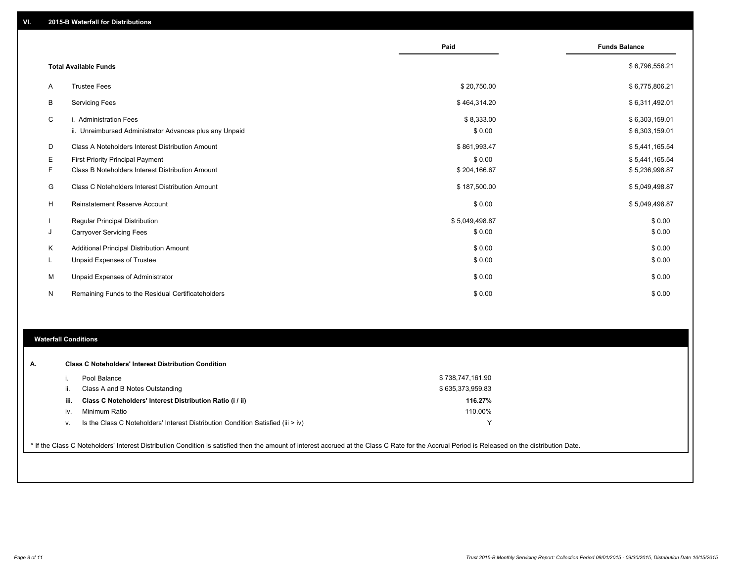|    |                                                                                   | Paid                 | <b>Funds Balance</b>             |
|----|-----------------------------------------------------------------------------------|----------------------|----------------------------------|
|    | <b>Total Available Funds</b>                                                      |                      | \$6,796,556.21                   |
| A  | <b>Trustee Fees</b>                                                               | \$20,750.00          | \$6,775,806.21                   |
| B  | <b>Servicing Fees</b>                                                             | \$464,314.20         | \$6,311,492.01                   |
| C  | i. Administration Fees<br>ii. Unreimbursed Administrator Advances plus any Unpaid | \$8,333.00<br>\$0.00 | \$6,303,159.01<br>\$6,303,159.01 |
| D  | Class A Noteholders Interest Distribution Amount                                  | \$861,993.47         | \$5,441,165.54                   |
| Е  | <b>First Priority Principal Payment</b>                                           | \$0.00               | \$5,441,165.54                   |
| F  | Class B Noteholders Interest Distribution Amount                                  | \$204,166.67         | \$5,236,998.87                   |
| G  | Class C Noteholders Interest Distribution Amount                                  | \$187,500.00         | \$5,049,498.87                   |
| н  | Reinstatement Reserve Account                                                     | \$0.00               | \$5,049,498.87                   |
|    | <b>Regular Principal Distribution</b>                                             | \$5,049,498.87       | \$0.00                           |
| J  | <b>Carryover Servicing Fees</b>                                                   | \$0.00               | \$0.00                           |
| Κ  | Additional Principal Distribution Amount                                          | \$0.00               | \$0.00                           |
| L. | Unpaid Expenses of Trustee                                                        | \$0.00               | \$0.00                           |
| М  | Unpaid Expenses of Administrator                                                  | \$0.00               | \$0.00                           |
| N  | Remaining Funds to the Residual Certificateholders                                | \$0.00               | \$0.00                           |

### **Waterfall Conditions**

|      | Pool Balance                                                                       | \$738,747,161.90 |
|------|------------------------------------------------------------------------------------|------------------|
| Ш.   | Class A and B Notes Outstanding                                                    | \$635,373,959.83 |
| iii. | Class C Noteholders' Interest Distribution Ratio (i / ii)                          | 116.27%          |
| IV.  | Minimum Ratio                                                                      | 110.00%          |
| ν.   | Is the Class C Noteholders' Interest Distribution Condition Satisfied (iii $>$ iv) |                  |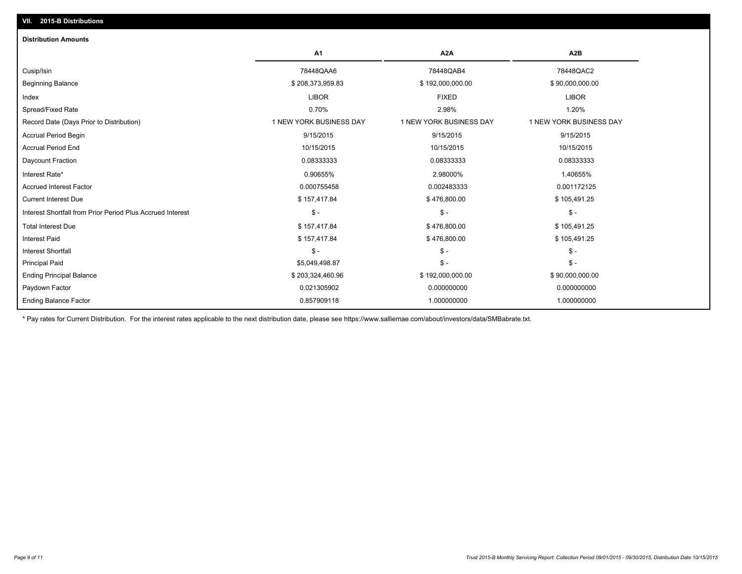| <b>Distribution Amounts</b>                                |                         |                         |                         |
|------------------------------------------------------------|-------------------------|-------------------------|-------------------------|
|                                                            | A1                      | A <sub>2</sub> A        | A <sub>2</sub> B        |
| Cusip/Isin                                                 | 78448QAA6               | 78448QAB4               | 78448QAC2               |
| <b>Beginning Balance</b>                                   | \$208,373,959.83        | \$192,000,000.00        | \$90,000,000.00         |
| Index                                                      | <b>LIBOR</b>            | <b>FIXED</b>            | <b>LIBOR</b>            |
| Spread/Fixed Rate                                          | 0.70%                   | 2.98%                   | 1.20%                   |
| Record Date (Days Prior to Distribution)                   | 1 NEW YORK BUSINESS DAY | 1 NEW YORK BUSINESS DAY | 1 NEW YORK BUSINESS DAY |
| <b>Accrual Period Begin</b>                                | 9/15/2015               | 9/15/2015               | 9/15/2015               |
| <b>Accrual Period End</b>                                  | 10/15/2015              | 10/15/2015              | 10/15/2015              |
| Daycount Fraction                                          | 0.08333333              | 0.08333333              | 0.08333333              |
| Interest Rate*                                             | 0.90655%                | 2.98000%                | 1.40655%                |
| <b>Accrued Interest Factor</b>                             | 0.000755458             | 0.002483333             | 0.001172125             |
| <b>Current Interest Due</b>                                | \$157,417.84            | \$476,800.00            | \$105,491.25            |
| Interest Shortfall from Prior Period Plus Accrued Interest | $\mathcal{S}$ -         | $\mathsf{\$}$ -         | $\mathcal{S}$ -         |
| <b>Total Interest Due</b>                                  | \$157,417.84            | \$476,800.00            | \$105,491.25            |
| <b>Interest Paid</b>                                       | \$157,417.84            | \$476,800.00            | \$105,491.25            |
| <b>Interest Shortfall</b>                                  | $\mathsf{\$}$ -         | $\mathsf{\$}$ -         | $\mathsf{\$}$ -         |
| <b>Principal Paid</b>                                      | \$5,049,498.87          | $\mathsf{\$}$ -         | $\mathsf{\$}$ -         |
| <b>Ending Principal Balance</b>                            | \$203,324,460.96        | \$192,000,000.00        | \$90,000,000.00         |
| Paydown Factor                                             | 0.021305902             | 0.000000000             | 0.000000000             |
| <b>Ending Balance Factor</b>                               | 0.857909118             | 1.000000000             | 1.000000000             |

\* Pay rates for Current Distribution. For the interest rates applicable to the next distribution date, please see https://www.salliemae.com/about/investors/data/SMBabrate.txt.

**VII. 2015-B Distributions**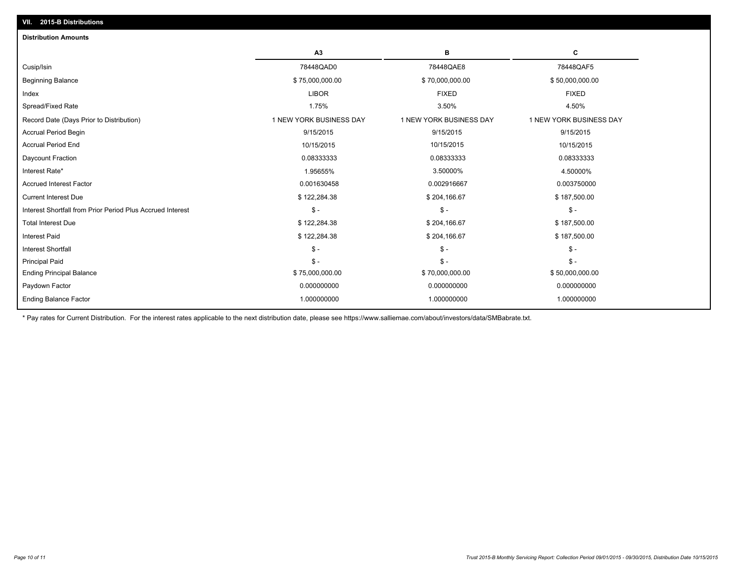| в<br>C<br>A3<br>78448QAD0<br>78448QAE8<br>78448QAF5<br>Cusip/Isin<br><b>Beginning Balance</b><br>\$75,000,000.00<br>\$70,000,000.00<br>\$50,000,000.00 |  |
|--------------------------------------------------------------------------------------------------------------------------------------------------------|--|
|                                                                                                                                                        |  |
|                                                                                                                                                        |  |
|                                                                                                                                                        |  |
| <b>LIBOR</b><br><b>FIXED</b><br><b>FIXED</b><br>Index                                                                                                  |  |
| Spread/Fixed Rate<br>4.50%<br>1.75%<br>3.50%                                                                                                           |  |
| 1 NEW YORK BUSINESS DAY<br>1 NEW YORK BUSINESS DAY<br>1 NEW YORK BUSINESS DAY<br>Record Date (Days Prior to Distribution)                              |  |
| 9/15/2015<br><b>Accrual Period Begin</b><br>9/15/2015<br>9/15/2015                                                                                     |  |
| <b>Accrual Period End</b><br>10/15/2015<br>10/15/2015<br>10/15/2015                                                                                    |  |
| 0.08333333<br>Daycount Fraction<br>0.08333333<br>0.08333333                                                                                            |  |
| 1.95655%<br>3.50000%<br>4.50000%<br>Interest Rate*                                                                                                     |  |
| <b>Accrued Interest Factor</b><br>0.001630458<br>0.002916667<br>0.003750000                                                                            |  |
| \$122,284.38<br><b>Current Interest Due</b><br>\$204,166.67<br>\$187,500.00                                                                            |  |
| Interest Shortfall from Prior Period Plus Accrued Interest<br>$S -$<br>$\mathsf{\$}$ -<br>$\mathsf{\$}$ -                                              |  |
| <b>Total Interest Due</b><br>\$122,284.38<br>\$204,166.67<br>\$187,500.00                                                                              |  |
| \$122,284.38<br>\$204,166.67<br>\$187,500.00<br><b>Interest Paid</b>                                                                                   |  |
| $\mathcal{S}$ -<br>$S -$<br>$\mathsf{\$}$ -<br><b>Interest Shortfall</b>                                                                               |  |
| $S -$<br>$\mathsf{\$}$ -<br><b>Principal Paid</b><br>$S -$                                                                                             |  |
| <b>Ending Principal Balance</b><br>\$75,000,000.00<br>\$70,000,000.00<br>\$50,000,000.00                                                               |  |
| 0.000000000<br>0.000000000<br>0.000000000<br>Paydown Factor                                                                                            |  |
| <b>Ending Balance Factor</b><br>1.000000000<br>1.000000000<br>1.000000000                                                                              |  |

\* Pay rates for Current Distribution. For the interest rates applicable to the next distribution date, please see https://www.salliemae.com/about/investors/data/SMBabrate.txt.

**VII. 2015-B Distributions**